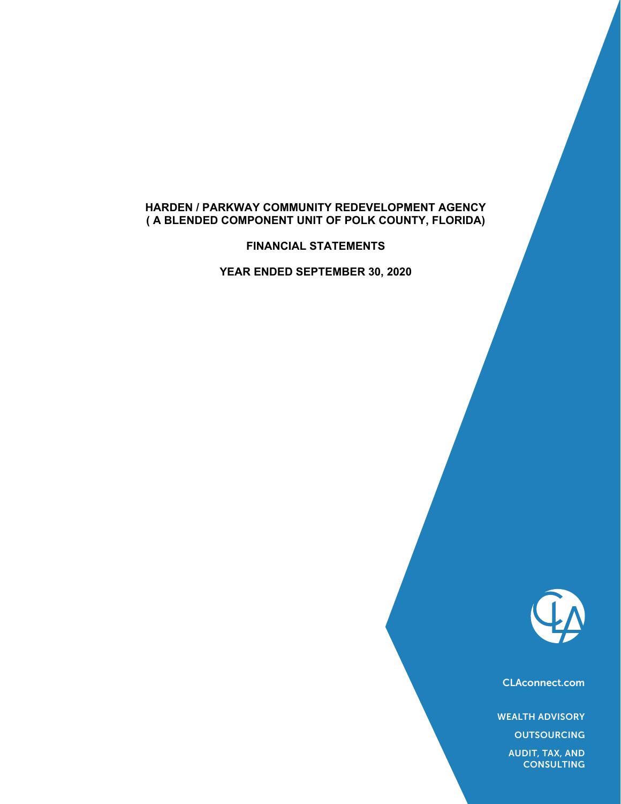### **HARDEN / PARKWAY COMMUNITY REDEVELOPMENT AGENCY ( A BLENDED COMPONENT UNIT OF POLK COUNTY, FLORIDA)**

**FINANCIAL STATEMENTS** 

**YEAR ENDED SEPTEMBER 30, 2020** 



CLAconnect.com

WEALTH ADVISORY

**OUTSOURCING** 

AUDIT, TAX, AND **CONSULTING**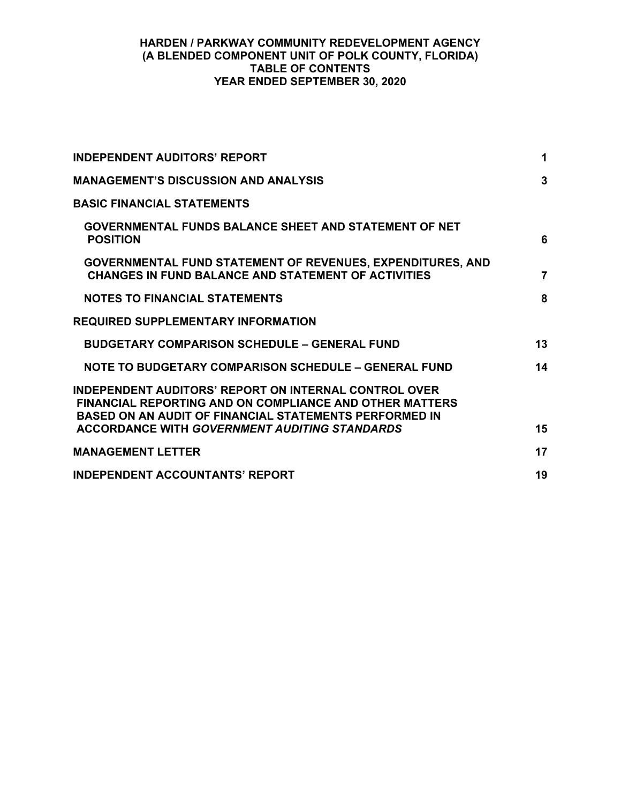### **HARDEN / PARKWAY COMMUNITY REDEVELOPMENT AGENCY (A BLENDED COMPONENT UNIT OF POLK COUNTY, FLORIDA) TABLE OF CONTENTS YEAR ENDED SEPTEMBER 30, 2020**

| <b>INDEPENDENT AUDITORS' REPORT</b>                                                                                                                                                             | 1              |
|-------------------------------------------------------------------------------------------------------------------------------------------------------------------------------------------------|----------------|
| <b>MANAGEMENT'S DISCUSSION AND ANALYSIS</b>                                                                                                                                                     | 3              |
| <b>BASIC FINANCIAL STATEMENTS</b>                                                                                                                                                               |                |
| <b>GOVERNMENTAL FUNDS BALANCE SHEET AND STATEMENT OF NET</b><br><b>POSITION</b>                                                                                                                 | 6              |
| GOVERNMENTAL FUND STATEMENT OF REVENUES, EXPENDITURES, AND<br><b>CHANGES IN FUND BALANCE AND STATEMENT OF ACTIVITIES</b>                                                                        | $\overline{7}$ |
| <b>NOTES TO FINANCIAL STATEMENTS</b>                                                                                                                                                            | 8              |
| <b>REQUIRED SUPPLEMENTARY INFORMATION</b>                                                                                                                                                       |                |
| <b>BUDGETARY COMPARISON SCHEDULE - GENERAL FUND</b>                                                                                                                                             | 13             |
| NOTE TO BUDGETARY COMPARISON SCHEDULE - GENERAL FUND                                                                                                                                            | 14             |
| <b>INDEPENDENT AUDITORS' REPORT ON INTERNAL CONTROL OVER</b><br><b>FINANCIAL REPORTING AND ON COMPLIANCE AND OTHER MATTERS</b><br><b>BASED ON AN AUDIT OF FINANCIAL STATEMENTS PERFORMED IN</b> |                |
| <b>ACCORDANCE WITH GOVERNMENT AUDITING STANDARDS</b>                                                                                                                                            | 15             |
| <b>MANAGEMENT LETTER</b>                                                                                                                                                                        | 17             |
| <b>INDEPENDENT ACCOUNTANTS' REPORT</b>                                                                                                                                                          | 19             |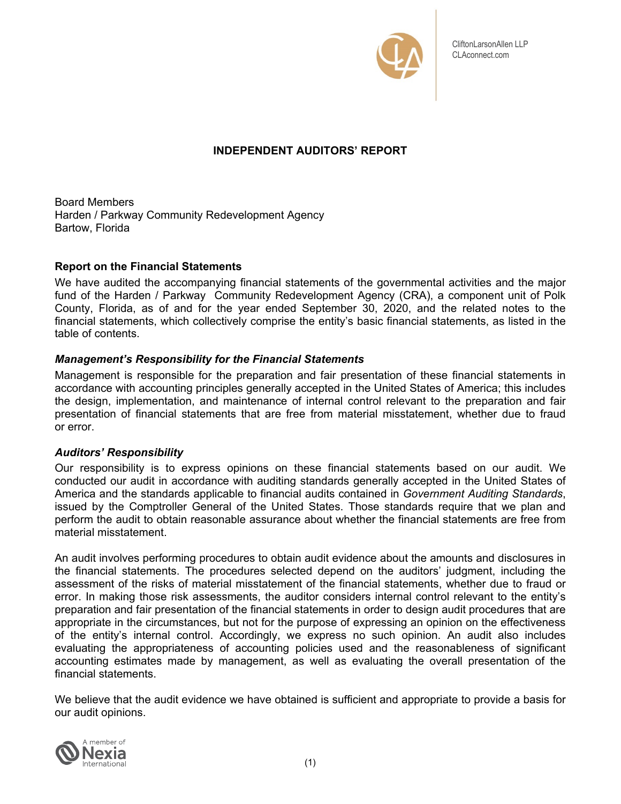

# **INDEPENDENT AUDITORS' REPORT**

Board Members Harden / Parkway Community Redevelopment Agency Bartow, Florida

### **Report on the Financial Statements**

We have audited the accompanying financial statements of the governmental activities and the major fund of the Harden / Parkway Community Redevelopment Agency (CRA), a component unit of Polk County, Florida, as of and for the year ended September 30, 2020, and the related notes to the financial statements, which collectively comprise the entity's basic financial statements, as listed in the table of contents.

### *Management's Responsibility for the Financial Statements*

Management is responsible for the preparation and fair presentation of these financial statements in accordance with accounting principles generally accepted in the United States of America; this includes the design, implementation, and maintenance of internal control relevant to the preparation and fair presentation of financial statements that are free from material misstatement, whether due to fraud or error.

### *Auditors' Responsibility*

Our responsibility is to express opinions on these financial statements based on our audit. We conducted our audit in accordance with auditing standards generally accepted in the United States of America and the standards applicable to financial audits contained in *Government Auditing Standards*, issued by the Comptroller General of the United States. Those standards require that we plan and perform the audit to obtain reasonable assurance about whether the financial statements are free from material misstatement.

An audit involves performing procedures to obtain audit evidence about the amounts and disclosures in the financial statements. The procedures selected depend on the auditors' judgment, including the assessment of the risks of material misstatement of the financial statements, whether due to fraud or error. In making those risk assessments, the auditor considers internal control relevant to the entity's preparation and fair presentation of the financial statements in order to design audit procedures that are appropriate in the circumstances, but not for the purpose of expressing an opinion on the effectiveness of the entity's internal control. Accordingly, we express no such opinion. An audit also includes evaluating the appropriateness of accounting policies used and the reasonableness of significant accounting estimates made by management, as well as evaluating the overall presentation of the financial statements.

We believe that the audit evidence we have obtained is sufficient and appropriate to provide a basis for our audit opinions.

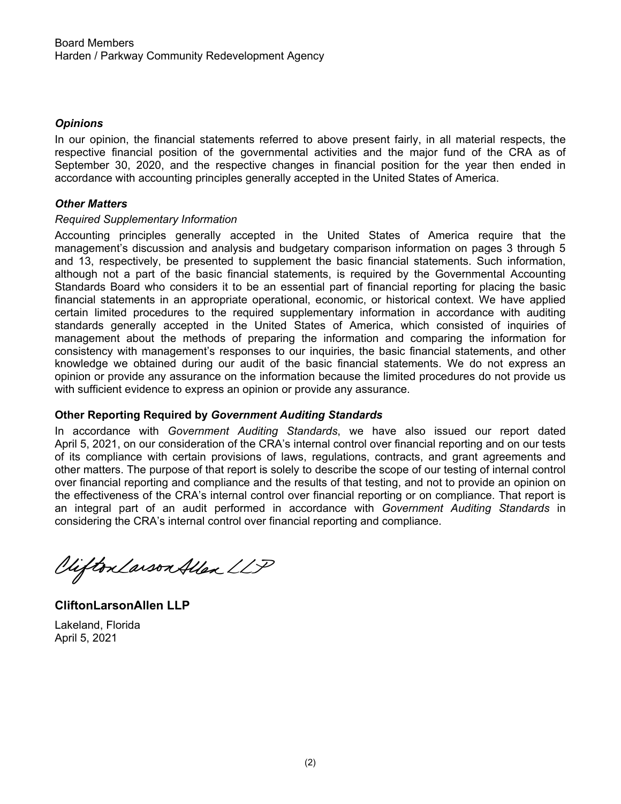### *Opinions*

In our opinion, the financial statements referred to above present fairly, in all material respects, the respective financial position of the governmental activities and the major fund of the CRA as of September 30, 2020, and the respective changes in financial position for the year then ended in accordance with accounting principles generally accepted in the United States of America.

### *Other Matters*

#### *Required Supplementary Information*

Accounting principles generally accepted in the United States of America require that the management's discussion and analysis and budgetary comparison information on pages 3 through 5 and 13, respectively, be presented to supplement the basic financial statements. Such information, although not a part of the basic financial statements, is required by the Governmental Accounting Standards Board who considers it to be an essential part of financial reporting for placing the basic financial statements in an appropriate operational, economic, or historical context. We have applied certain limited procedures to the required supplementary information in accordance with auditing standards generally accepted in the United States of America, which consisted of inquiries of management about the methods of preparing the information and comparing the information for consistency with management's responses to our inquiries, the basic financial statements, and other knowledge we obtained during our audit of the basic financial statements. We do not express an opinion or provide any assurance on the information because the limited procedures do not provide us with sufficient evidence to express an opinion or provide any assurance.

### **Other Reporting Required by** *Government Auditing Standards*

In accordance with Government Auditing Standards, we have also issued our report dated April 5, 2021, on our consideration of the CRA's internal control over financial reporting and on our tests of its compliance with certain provisions of laws, regulations, contracts, and grant agreements and other matters. The purpose of that report is solely to describe the scope of our testing of internal control over financial reporting and compliance and the results of that testing, and not to provide an opinion on the effectiveness of the CRA's internal control over financial reporting or on compliance. That report is an integral part of an audit performed in accordance with *Government Auditing Standards* in considering the CRA's internal control over financial reporting and compliance.

Viifton Larson Allen LLP

**CliftonLarsonAllen LLP**  Lakeland, Florida April 5, 2021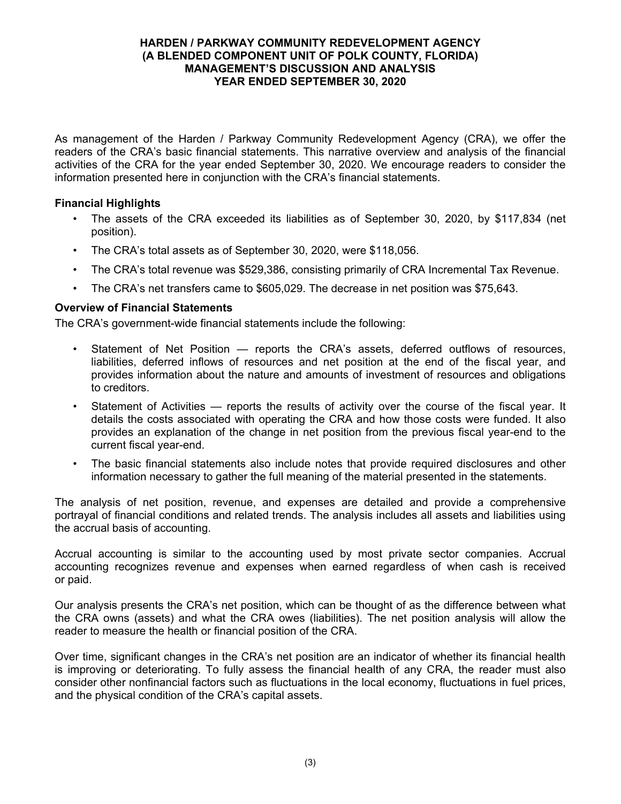#### **HARDEN / PARKWAY COMMUNITY REDEVELOPMENT AGENCY (A BLENDED COMPONENT UNIT OF POLK COUNTY, FLORIDA) MANAGEMENT'S DISCUSSION AND ANALYSIS YEAR ENDED SEPTEMBER 30, 2020**

As management of the Harden / Parkway Community Redevelopment Agency (CRA), we offer the readers of the CRA's basic financial statements. This narrative overview and analysis of the financial activities of the CRA for the year ended September 30, 2020. We encourage readers to consider the information presented here in conjunction with the CRA's financial statements.

### **Financial Highlights**

- The assets of the CRA exceeded its liabilities as of September 30, 2020, by \$117,834 (net position).
- The CRA's total assets as of September 30, 2020, were \$118,056.
- The CRA's total revenue was \$529,386, consisting primarily of CRA Incremental Tax Revenue.
- The CRA's net transfers came to \$605,029. The decrease in net position was \$75,643.

### **Overview of Financial Statements**

The CRA's government-wide financial statements include the following:

- Statement of Net Position reports the CRA's assets, deferred outflows of resources, liabilities, deferred inflows of resources and net position at the end of the fiscal year, and provides information about the nature and amounts of investment of resources and obligations to creditors.
- Statement of Activities reports the results of activity over the course of the fiscal year. It details the costs associated with operating the CRA and how those costs were funded. It also provides an explanation of the change in net position from the previous fiscal year-end to the current fiscal year-end.
- The basic financial statements also include notes that provide required disclosures and other information necessary to gather the full meaning of the material presented in the statements.

The analysis of net position, revenue, and expenses are detailed and provide a comprehensive portrayal of financial conditions and related trends. The analysis includes all assets and liabilities using the accrual basis of accounting.

Accrual accounting is similar to the accounting used by most private sector companies. Accrual accounting recognizes revenue and expenses when earned regardless of when cash is received or paid.

Our analysis presents the CRA's net position, which can be thought of as the difference between what the CRA owns (assets) and what the CRA owes (liabilities). The net position analysis will allow the reader to measure the health or financial position of the CRA.

Over time, significant changes in the CRA's net position are an indicator of whether its financial health is improving or deteriorating. To fully assess the financial health of any CRA, the reader must also consider other nonfinancial factors such as fluctuations in the local economy, fluctuations in fuel prices, and the physical condition of the CRA's capital assets.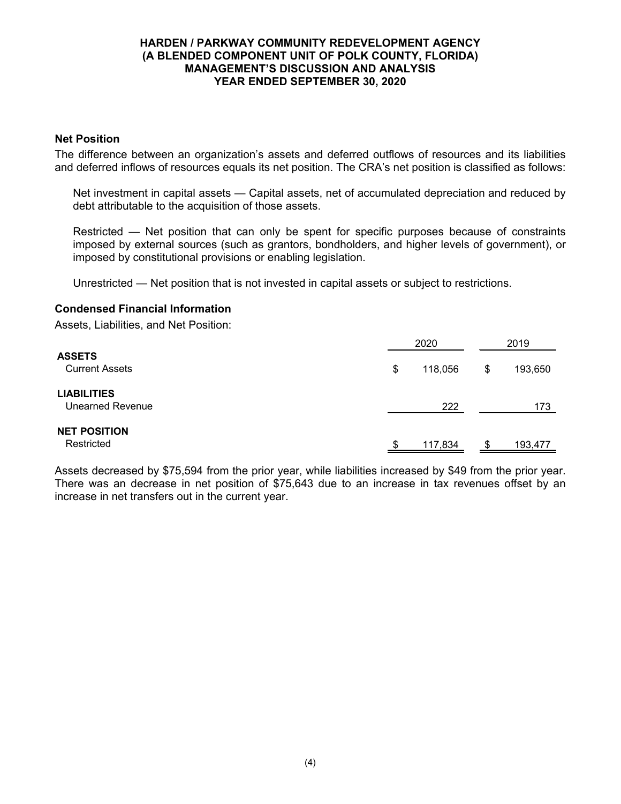#### **HARDEN / PARKWAY COMMUNITY REDEVELOPMENT AGENCY (A BLENDED COMPONENT UNIT OF POLK COUNTY, FLORIDA) MANAGEMENT'S DISCUSSION AND ANALYSIS YEAR ENDED SEPTEMBER 30, 2020**

#### **Net Position**

The difference between an organization's assets and deferred outflows of resources and its liabilities and deferred inflows of resources equals its net position. The CRA's net position is classified as follows:

Net investment in capital assets — Capital assets, net of accumulated depreciation and reduced by debt attributable to the acquisition of those assets.

Restricted — Net position that can only be spent for specific purposes because of constraints imposed by external sources (such as grantors, bondholders, and higher levels of government), or imposed by constitutional provisions or enabling legislation.

Unrestricted — Net position that is not invested in capital assets or subject to restrictions.

#### **Condensed Financial Information**

Assets, Liabilities, and Net Position:

|                                               |    | 2020<br>\$<br>118,056 |  | 2019    |  |  |
|-----------------------------------------------|----|-----------------------|--|---------|--|--|
| <b>ASSETS</b><br><b>Current Assets</b>        |    |                       |  | 193,650 |  |  |
| <b>LIABILITIES</b><br><b>Unearned Revenue</b> |    | 222                   |  | 173     |  |  |
| <b>NET POSITION</b><br>Restricted             | ß. | 117,834               |  | 193,477 |  |  |

Assets decreased by \$75,594 from the prior year, while liabilities increased by \$49 from the prior year. There was an decrease in net position of \$75,643 due to an increase in tax revenues offset by an increase in net transfers out in the current year.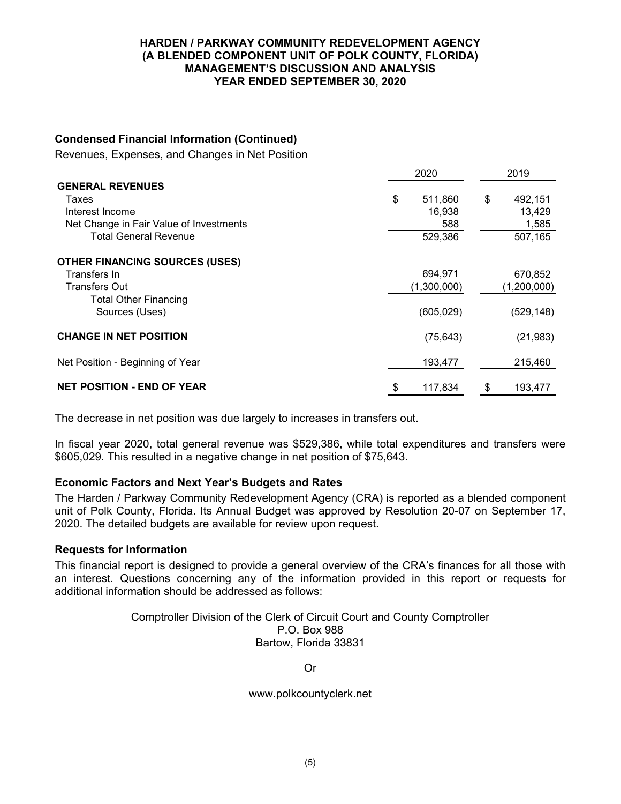#### **HARDEN / PARKWAY COMMUNITY REDEVELOPMENT AGENCY (A BLENDED COMPONENT UNIT OF POLK COUNTY, FLORIDA) MANAGEMENT'S DISCUSSION AND ANALYSIS YEAR ENDED SEPTEMBER 30, 2020**

#### **Condensed Financial Information (Continued)**

Revenues, Expenses, and Changes in Net Position

|                                         | 2020 |             |    | 2019        |  |
|-----------------------------------------|------|-------------|----|-------------|--|
| <b>GENERAL REVENUES</b>                 |      |             |    |             |  |
| Taxes                                   | \$   | 511,860     | \$ | 492,151     |  |
| Interest Income                         |      | 16,938      |    | 13,429      |  |
| Net Change in Fair Value of Investments |      | 588         |    | 1,585       |  |
| <b>Total General Revenue</b>            |      | 529,386     |    | 507,165     |  |
| <b>OTHER FINANCING SOURCES (USES)</b>   |      |             |    |             |  |
| Transfers In                            |      | 694,971     |    | 670,852     |  |
| <b>Transfers Out</b>                    |      | (1,300,000) |    | (1,200,000) |  |
| <b>Total Other Financing</b>            |      |             |    |             |  |
| Sources (Uses)                          |      | (605, 029)  |    | (529, 148)  |  |
| <b>CHANGE IN NET POSITION</b>           |      | (75, 643)   |    | (21, 983)   |  |
| Net Position - Beginning of Year        |      | 193,477     |    | 215,460     |  |
| <b>NET POSITION - END OF YEAR</b>       |      | 117,834     | £. | 193,477     |  |

The decrease in net position was due largely to increases in transfers out.

In fiscal year 2020, total general revenue was \$529,386, while total expenditures and transfers were \$605,029. This resulted in a negative change in net position of \$75,643.

#### **Economic Factors and Next Year's Budgets and Rates**

The Harden / Parkway Community Redevelopment Agency (CRA) is reported as a blended component unit of Polk County, Florida. Its Annual Budget was approved by Resolution 20-07 on September 17, 2020. The detailed budgets are available for review upon request.

#### **Requests for Information**

This financial report is designed to provide a general overview of the CRA's finances for all those with an interest. Questions concerning any of the information provided in this report or requests for additional information should be addressed as follows:

#### Comptroller Division of the Clerk of Circuit Court and County Comptroller P.O. Box 988 Bartow, Florida 33831

Or

www.polkcountyclerk.net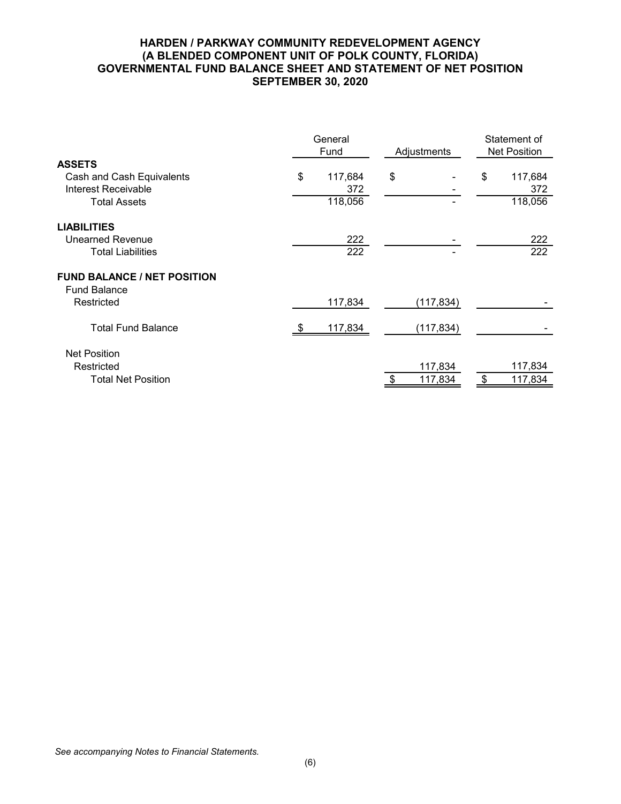#### **HARDEN / PARKWAY COMMUNITY REDEVELOPMENT AGENCY (A BLENDED COMPONENT UNIT OF POLK COUNTY, FLORIDA) GOVERNMENTAL FUND BALANCE SHEET AND STATEMENT OF NET POSITION SEPTEMBER 30, 2020**

| General<br>Fund |         |            | Statement of<br><b>Net Position</b> |         |  |
|-----------------|---------|------------|-------------------------------------|---------|--|
|                 |         |            |                                     |         |  |
| \$              | 117,684 | \$         | \$                                  | 117,684 |  |
|                 | 372     |            |                                     | 372     |  |
|                 | 118,056 |            |                                     | 118,056 |  |
|                 |         |            |                                     |         |  |
|                 | 222     |            |                                     | 222     |  |
|                 | 222     |            |                                     | 222     |  |
|                 |         |            |                                     |         |  |
|                 |         |            |                                     |         |  |
|                 | 117,834 | (117, 834) |                                     |         |  |
|                 | 117,834 | (117, 834) |                                     |         |  |
|                 |         |            |                                     |         |  |
|                 |         |            |                                     | 117,834 |  |
|                 |         | 117,834    |                                     | 117,834 |  |
|                 |         |            | Adjustments<br>117,834              |         |  |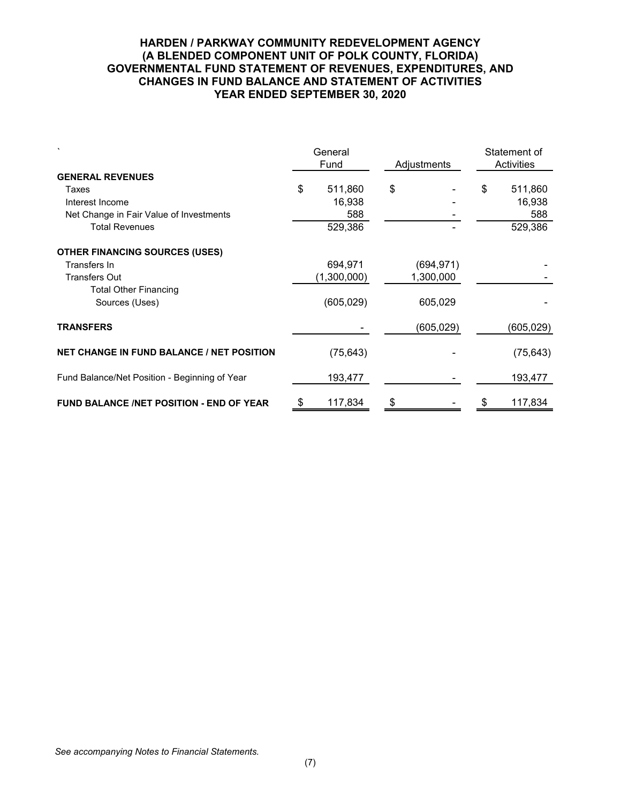#### **HARDEN / PARKWAY COMMUNITY REDEVELOPMENT AGENCY (A BLENDED COMPONENT UNIT OF POLK COUNTY, FLORIDA) GOVERNMENTAL FUND STATEMENT OF REVENUES, EXPENDITURES, AND CHANGES IN FUND BALANCE AND STATEMENT OF ACTIVITIES YEAR ENDED SEPTEMBER 30, 2020**

|                                                  | General<br>Fund |             | Adjustments | Statement of<br>Activities |           |  |
|--------------------------------------------------|-----------------|-------------|-------------|----------------------------|-----------|--|
| <b>GENERAL REVENUES</b>                          |                 |             |             |                            |           |  |
| Taxes                                            | \$              | 511,860     | \$          | \$                         | 511,860   |  |
| Interest Income                                  |                 | 16,938      |             |                            | 16,938    |  |
| Net Change in Fair Value of Investments          |                 | 588         |             |                            | 588       |  |
| <b>Total Revenues</b>                            |                 | 529,386     |             |                            | 529,386   |  |
| <b>OTHER FINANCING SOURCES (USES)</b>            |                 |             |             |                            |           |  |
| Transfers In                                     |                 | 694,971     | (694,971)   |                            |           |  |
| <b>Transfers Out</b>                             |                 | (1,300,000) | 1,300,000   |                            |           |  |
| <b>Total Other Financing</b>                     |                 |             |             |                            |           |  |
| Sources (Uses)                                   |                 | (605,029)   | 605,029     |                            |           |  |
| <b>TRANSFERS</b>                                 |                 |             | (605,029)   |                            | (605,029) |  |
| <b>NET CHANGE IN FUND BALANCE / NET POSITION</b> |                 | (75, 643)   |             |                            | (75, 643) |  |
| Fund Balance/Net Position - Beginning of Year    |                 | 193,477     |             |                            | 193,477   |  |
| <b>FUND BALANCE /NET POSITION - END OF YEAR</b>  | \$              | 117,834     | \$          |                            | 117,834   |  |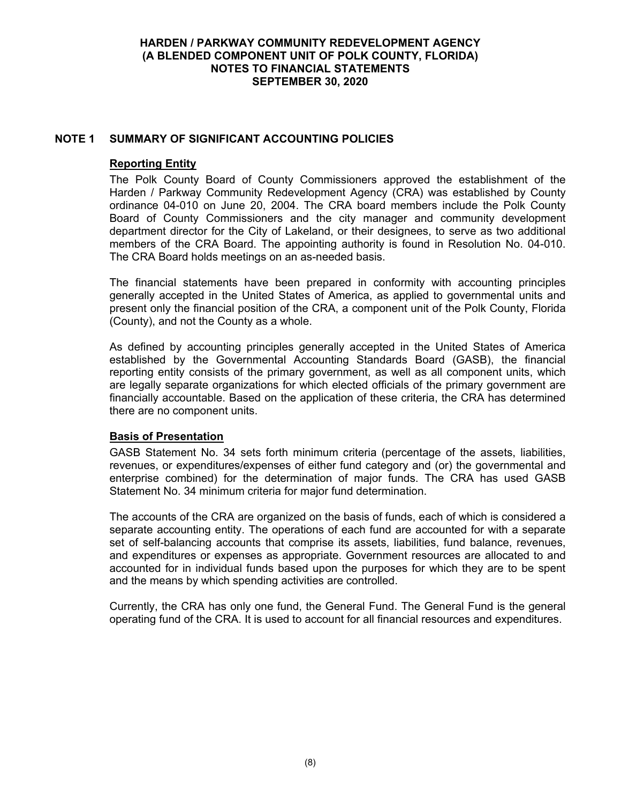### **NOTE 1 SUMMARY OF SIGNIFICANT ACCOUNTING POLICIES**

#### **Reporting Entity**

The Polk County Board of County Commissioners approved the establishment of the Harden / Parkway Community Redevelopment Agency (CRA) was established by County ordinance 04-010 on June 20, 2004. The CRA board members include the Polk County Board of County Commissioners and the city manager and community development department director for the City of Lakeland, or their designees, to serve as two additional members of the CRA Board. The appointing authority is found in Resolution No. 04-010. The CRA Board holds meetings on an as-needed basis.

The financial statements have been prepared in conformity with accounting principles generally accepted in the United States of America, as applied to governmental units and present only the financial position of the CRA, a component unit of the Polk County, Florida (County), and not the County as a whole.

As defined by accounting principles generally accepted in the United States of America established by the Governmental Accounting Standards Board (GASB), the financial reporting entity consists of the primary government, as well as all component units, which are legally separate organizations for which elected officials of the primary government are financially accountable. Based on the application of these criteria, the CRA has determined there are no component units.

#### **Basis of Presentation**

GASB Statement No. 34 sets forth minimum criteria (percentage of the assets, liabilities, revenues, or expenditures/expenses of either fund category and (or) the governmental and enterprise combined) for the determination of major funds. The CRA has used GASB Statement No. 34 minimum criteria for major fund determination.

The accounts of the CRA are organized on the basis of funds, each of which is considered a separate accounting entity. The operations of each fund are accounted for with a separate set of self-balancing accounts that comprise its assets, liabilities, fund balance, revenues, and expenditures or expenses as appropriate. Government resources are allocated to and accounted for in individual funds based upon the purposes for which they are to be spent and the means by which spending activities are controlled.

Currently, the CRA has only one fund, the General Fund. The General Fund is the general operating fund of the CRA. It is used to account for all financial resources and expenditures.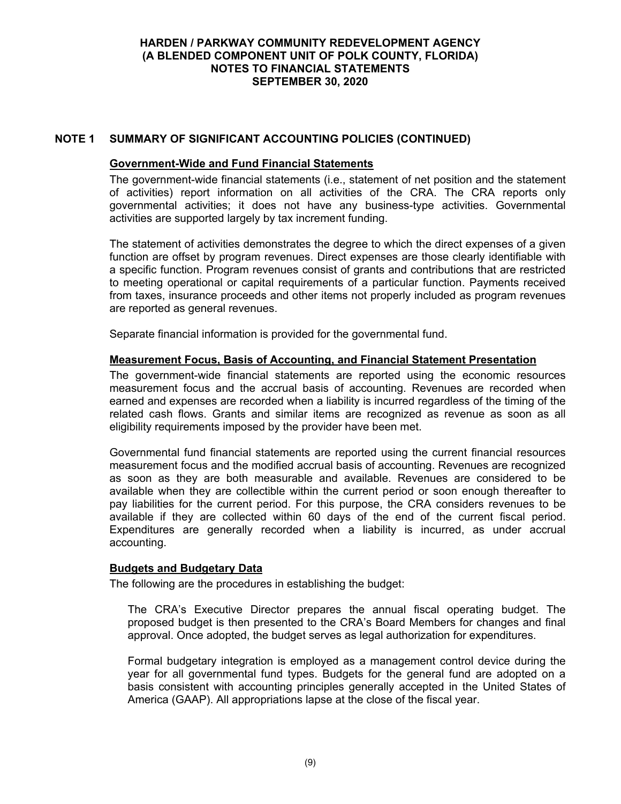## **NOTE 1 SUMMARY OF SIGNIFICANT ACCOUNTING POLICIES (CONTINUED)**

#### **Government-Wide and Fund Financial Statements**

The government-wide financial statements (i.e., statement of net position and the statement of activities) report information on all activities of the CRA. The CRA reports only governmental activities; it does not have any business-type activities. Governmental activities are supported largely by tax increment funding.

The statement of activities demonstrates the degree to which the direct expenses of a given function are offset by program revenues. Direct expenses are those clearly identifiable with a specific function. Program revenues consist of grants and contributions that are restricted to meeting operational or capital requirements of a particular function. Payments received from taxes, insurance proceeds and other items not properly included as program revenues are reported as general revenues.

Separate financial information is provided for the governmental fund.

#### **Measurement Focus, Basis of Accounting, and Financial Statement Presentation**

The government-wide financial statements are reported using the economic resources measurement focus and the accrual basis of accounting. Revenues are recorded when earned and expenses are recorded when a liability is incurred regardless of the timing of the related cash flows. Grants and similar items are recognized as revenue as soon as all eligibility requirements imposed by the provider have been met.

Governmental fund financial statements are reported using the current financial resources measurement focus and the modified accrual basis of accounting. Revenues are recognized as soon as they are both measurable and available. Revenues are considered to be available when they are collectible within the current period or soon enough thereafter to pay liabilities for the current period. For this purpose, the CRA considers revenues to be available if they are collected within 60 days of the end of the current fiscal period. Expenditures are generally recorded when a liability is incurred, as under accrual accounting.

### **Budgets and Budgetary Data**

The following are the procedures in establishing the budget:

The CRA's Executive Director prepares the annual fiscal operating budget. The proposed budget is then presented to the CRA's Board Members for changes and final approval. Once adopted, the budget serves as legal authorization for expenditures.

Formal budgetary integration is employed as a management control device during the year for all governmental fund types. Budgets for the general fund are adopted on a basis consistent with accounting principles generally accepted in the United States of America (GAAP). All appropriations lapse at the close of the fiscal year.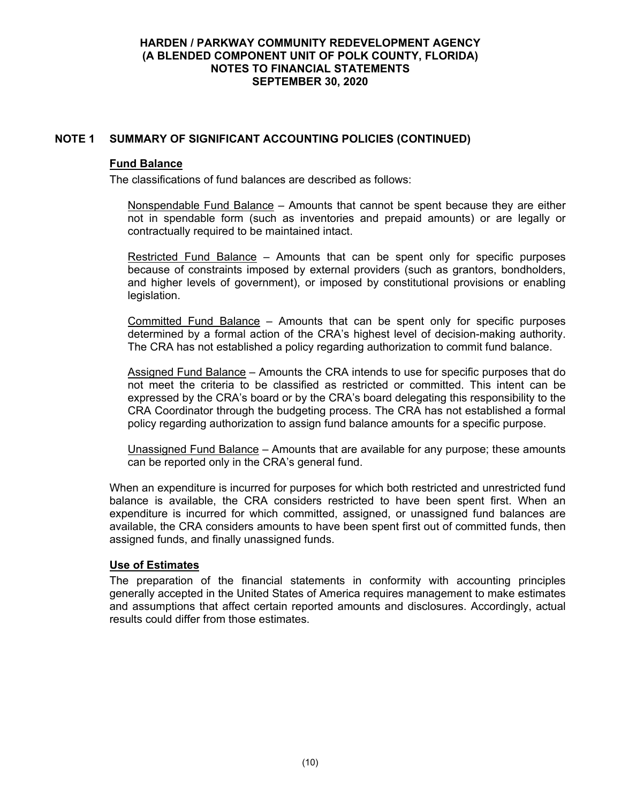## **NOTE 1 SUMMARY OF SIGNIFICANT ACCOUNTING POLICIES (CONTINUED)**

#### **Fund Balance**

The classifications of fund balances are described as follows:

Nonspendable Fund Balance – Amounts that cannot be spent because they are either not in spendable form (such as inventories and prepaid amounts) or are legally or contractually required to be maintained intact.

Restricted Fund Balance – Amounts that can be spent only for specific purposes because of constraints imposed by external providers (such as grantors, bondholders, and higher levels of government), or imposed by constitutional provisions or enabling legislation.

Committed Fund Balance – Amounts that can be spent only for specific purposes determined by a formal action of the CRA's highest level of decision-making authority. The CRA has not established a policy regarding authorization to commit fund balance.

Assigned Fund Balance – Amounts the CRA intends to use for specific purposes that do not meet the criteria to be classified as restricted or committed. This intent can be expressed by the CRA's board or by the CRA's board delegating this responsibility to the CRA Coordinator through the budgeting process. The CRA has not established a formal policy regarding authorization to assign fund balance amounts for a specific purpose.

Unassigned Fund Balance – Amounts that are available for any purpose; these amounts can be reported only in the CRA's general fund.

When an expenditure is incurred for purposes for which both restricted and unrestricted fund balance is available, the CRA considers restricted to have been spent first. When an expenditure is incurred for which committed, assigned, or unassigned fund balances are available, the CRA considers amounts to have been spent first out of committed funds, then assigned funds, and finally unassigned funds.

### **Use of Estimates**

The preparation of the financial statements in conformity with accounting principles generally accepted in the United States of America requires management to make estimates and assumptions that affect certain reported amounts and disclosures. Accordingly, actual results could differ from those estimates.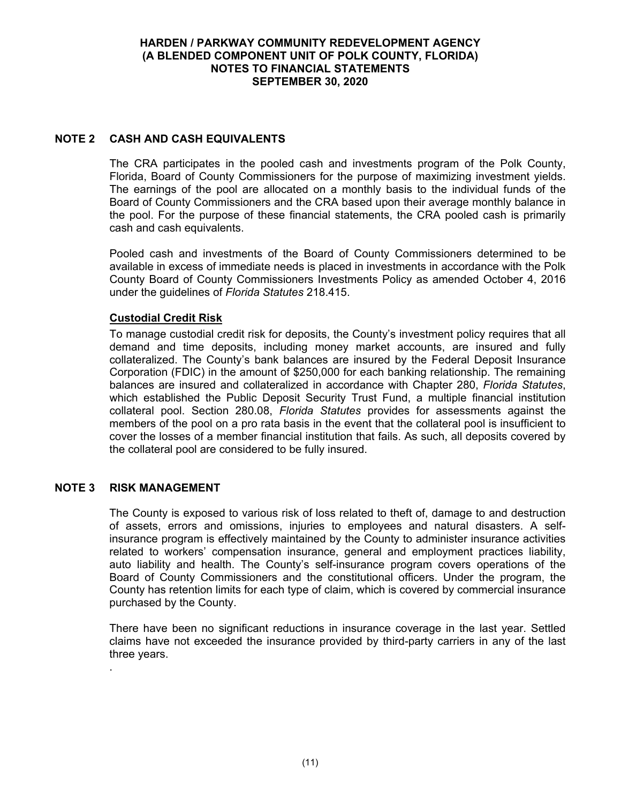# **NOTE 2 CASH AND CASH EQUIVALENTS**

The CRA participates in the pooled cash and investments program of the Polk County, Florida, Board of County Commissioners for the purpose of maximizing investment yields. The earnings of the pool are allocated on a monthly basis to the individual funds of the Board of County Commissioners and the CRA based upon their average monthly balance in the pool. For the purpose of these financial statements, the CRA pooled cash is primarily cash and cash equivalents.

Pooled cash and investments of the Board of County Commissioners determined to be available in excess of immediate needs is placed in investments in accordance with the Polk County Board of County Commissioners Investments Policy as amended October 4, 2016 under the guidelines of *Florida Statutes* 218.415.

### **Custodial Credit Risk**

To manage custodial credit risk for deposits, the County's investment policy requires that all demand and time deposits, including money market accounts, are insured and fully collateralized. The County's bank balances are insured by the Federal Deposit Insurance Corporation (FDIC) in the amount of \$250,000 for each banking relationship. The remaining balances are insured and collateralized in accordance with Chapter 280, *Florida Statutes*, which established the Public Deposit Security Trust Fund, a multiple financial institution collateral pool. Section 280.08, *Florida Statutes* provides for assessments against the members of the pool on a pro rata basis in the event that the collateral pool is insufficient to cover the losses of a member financial institution that fails. As such, all deposits covered by the collateral pool are considered to be fully insured.

### **NOTE 3 RISK MANAGEMENT**

.

The County is exposed to various risk of loss related to theft of, damage to and destruction of assets, errors and omissions, injuries to employees and natural disasters. A selfinsurance program is effectively maintained by the County to administer insurance activities related to workers' compensation insurance, general and employment practices liability, auto liability and health. The County's self-insurance program covers operations of the Board of County Commissioners and the constitutional officers. Under the program, the County has retention limits for each type of claim, which is covered by commercial insurance purchased by the County.

There have been no significant reductions in insurance coverage in the last year. Settled claims have not exceeded the insurance provided by third-party carriers in any of the last three years.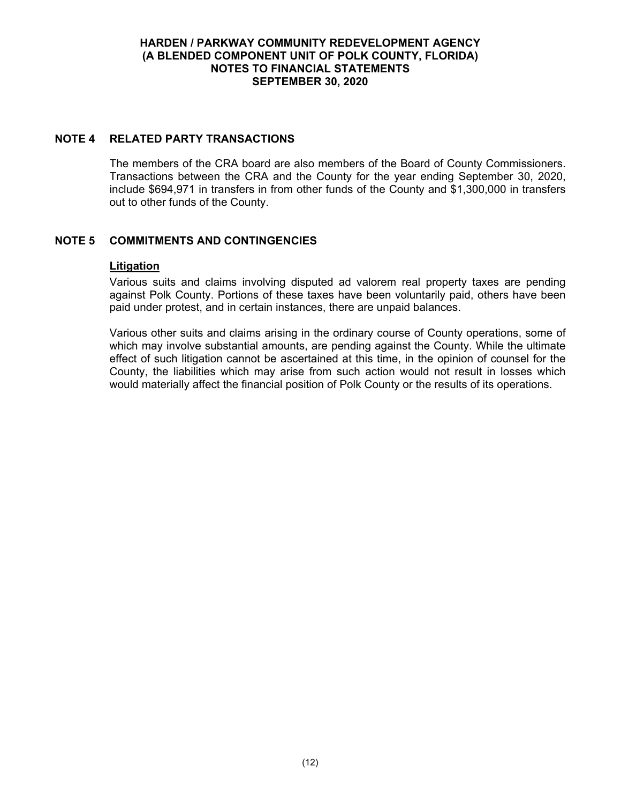### **NOTE 4 RELATED PARTY TRANSACTIONS**

The members of the CRA board are also members of the Board of County Commissioners. Transactions between the CRA and the County for the year ending September 30, 2020, include \$694,971 in transfers in from other funds of the County and \$1,300,000 in transfers out to other funds of the County.

## **NOTE 5 COMMITMENTS AND CONTINGENCIES**

#### **Litigation**

Various suits and claims involving disputed ad valorem real property taxes are pending against Polk County. Portions of these taxes have been voluntarily paid, others have been paid under protest, and in certain instances, there are unpaid balances.

Various other suits and claims arising in the ordinary course of County operations, some of which may involve substantial amounts, are pending against the County. While the ultimate effect of such litigation cannot be ascertained at this time, in the opinion of counsel for the County, the liabilities which may arise from such action would not result in losses which would materially affect the financial position of Polk County or the results of its operations.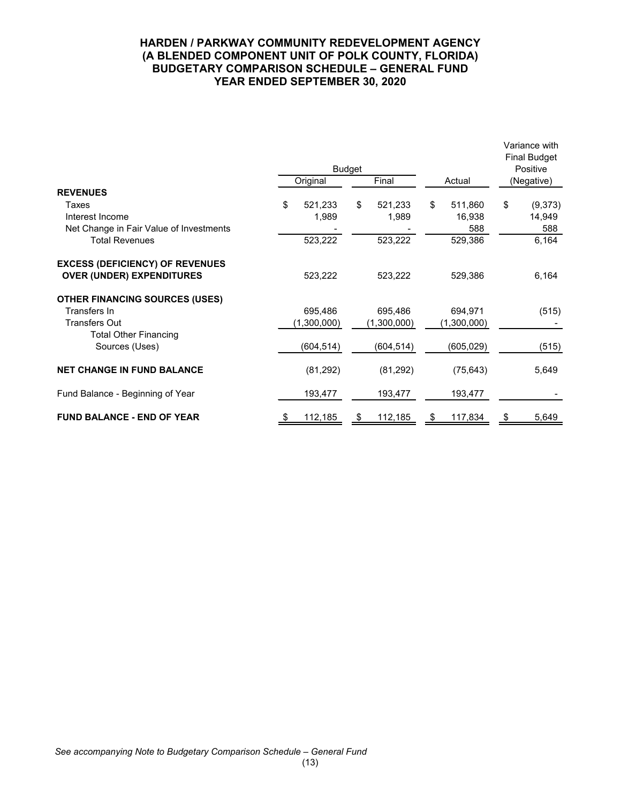#### **HARDEN / PARKWAY COMMUNITY REDEVELOPMENT AGENCY (A BLENDED COMPONENT UNIT OF POLK COUNTY, FLORIDA) BUDGETARY COMPARISON SCHEDULE – GENERAL FUND YEAR ENDED SEPTEMBER 30, 2020**

|                                                                            |    | <b>Budget</b><br>Original | Final | Actual      |    | Variance with<br><b>Final Budget</b><br>Positive<br>(Negative) |    |         |
|----------------------------------------------------------------------------|----|---------------------------|-------|-------------|----|----------------------------------------------------------------|----|---------|
| <b>REVENUES</b>                                                            |    |                           |       |             |    |                                                                |    |         |
| Taxes                                                                      | \$ | 521,233                   | \$    | 521,233     | \$ | 511,860                                                        | \$ | (9,373) |
| Interest Income                                                            |    | 1,989                     |       | 1,989       |    | 16,938                                                         |    | 14,949  |
| Net Change in Fair Value of Investments                                    |    |                           |       |             |    | 588                                                            |    | 588     |
| <b>Total Revenues</b>                                                      |    | 523,222                   |       | 523,222     |    | 529,386                                                        |    | 6,164   |
| <b>EXCESS (DEFICIENCY) OF REVENUES</b><br><b>OVER (UNDER) EXPENDITURES</b> |    | 523,222                   |       | 523,222     |    | 529,386                                                        |    | 6,164   |
| <b>OTHER FINANCING SOURCES (USES)</b>                                      |    |                           |       |             |    |                                                                |    |         |
| Transfers In                                                               |    | 695,486                   |       | 695,486     |    | 694,971                                                        |    | (515)   |
| <b>Transfers Out</b>                                                       |    | (1,300,000)               |       | (1,300,000) |    | (1,300,000)                                                    |    |         |
| <b>Total Other Financing</b><br>Sources (Uses)                             |    | (604,514)                 |       | (604,514)   |    | (605,029)                                                      |    | (515)   |
| <b>NET CHANGE IN FUND BALANCE</b>                                          |    | (81,292)                  |       | (81,292)    |    | (75, 643)                                                      |    | 5,649   |
| Fund Balance - Beginning of Year                                           |    | 193,477                   |       | 193,477     |    | 193,477                                                        |    |         |
| <b>FUND BALANCE - END OF YEAR</b>                                          |    | 112,185                   |       | 112,185     |    | 117,834                                                        |    | 5,649   |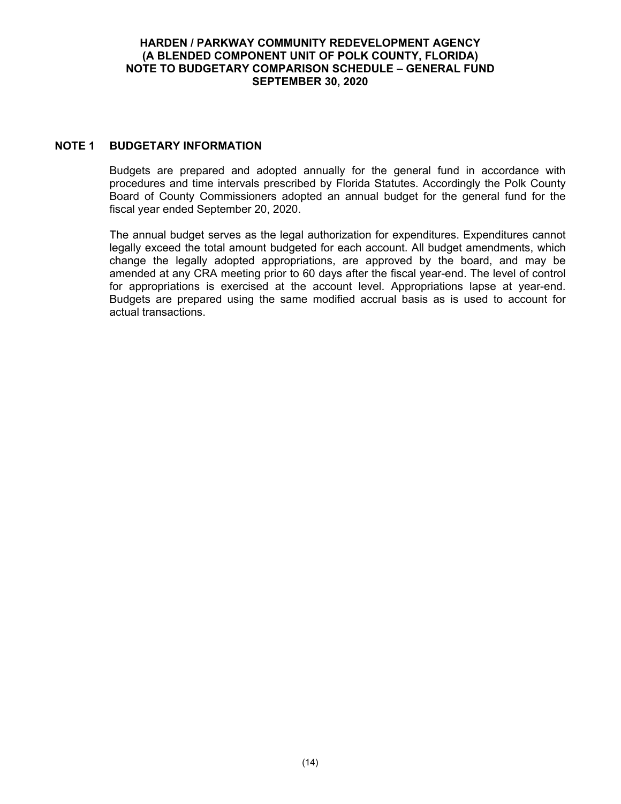#### **HARDEN / PARKWAY COMMUNITY REDEVELOPMENT AGENCY (A BLENDED COMPONENT UNIT OF POLK COUNTY, FLORIDA) NOTE TO BUDGETARY COMPARISON SCHEDULE – GENERAL FUND SEPTEMBER 30, 2020**

### **NOTE 1 BUDGETARY INFORMATION**

Budgets are prepared and adopted annually for the general fund in accordance with procedures and time intervals prescribed by Florida Statutes. Accordingly the Polk County Board of County Commissioners adopted an annual budget for the general fund for the fiscal year ended September 20, 2020.

The annual budget serves as the legal authorization for expenditures. Expenditures cannot legally exceed the total amount budgeted for each account. All budget amendments, which change the legally adopted appropriations, are approved by the board, and may be amended at any CRA meeting prior to 60 days after the fiscal year-end. The level of control for appropriations is exercised at the account level. Appropriations lapse at year-end. Budgets are prepared using the same modified accrual basis as is used to account for actual transactions.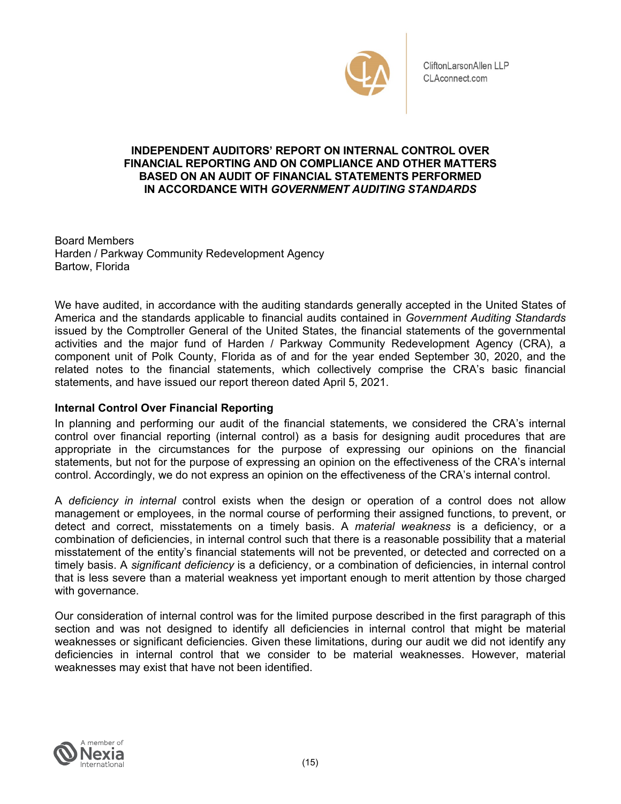

CliftonLarsonAllen LLP CLAconnect.com

### **FINANCIAL REPORTING AND ON COMPLIANCE AND OTHER MATTERS INDEPENDENT AUDITORS' REPORT ON INTERNAL CONTROL OVER BASED ON AN AUDIT OF FINANCIAL STATEMENTS PERFORMED IN ACCORDANCE WITH** *GOVERNMENT AUDITING STANDARDS*

Board Members Harden / Parkway Community Redevelopment Agency Bartow, Florida

We have audited, in accordance with the auditing standards generally accepted in the United States of America and the standards applicable to financial audits contained in *Government Auditing Standards*  issued by the Comptroller General of the United States, the financial statements of the governmental activities and the major fund of Harden / Parkway Community Redevelopment Agency (CRA), a component unit of Polk County, Florida as of and for the year ended September 30, 2020, and the related notes to the financial statements, which collectively comprise the CRA's basic financial statements, and have issued our report thereon dated April 5, 2021.

### **Internal Control Over Financial Reporting**

In planning and performing our audit of the financial statements, we considered the CRA's internal control over financial reporting (internal control) as a basis for designing audit procedures that are appropriate in the circumstances for the purpose of expressing our opinions on the financial statements, but not for the purpose of expressing an opinion on the effectiveness of the CRA's internal control. Accordingly, we do not express an opinion on the effectiveness of the CRA's internal control.

 combination of deficiencies, in internal control such that there is a reasonable possibility that a material A *deficiency in internal* control exists when the design or operation of a control does not allow management or employees, in the normal course of performing their assigned functions, to prevent, or detect and correct, misstatements on a timely basis. A *material weakness* is a deficiency, or a misstatement of the entity's financial statements will not be prevented, or detected and corrected on a timely basis. A *significant deficiency* is a deficiency, or a combination of deficiencies, in internal control that is less severe than a material weakness yet important enough to merit attention by those charged with governance.

Our consideration of internal control was for the limited purpose described in the first paragraph of this section and was not designed to identify all deficiencies in internal control that might be material weaknesses or significant deficiencies. Given these limitations, during our audit we did not identify any deficiencies in internal control that we consider to be material weaknesses. However, material weaknesses may exist that have not been identified.

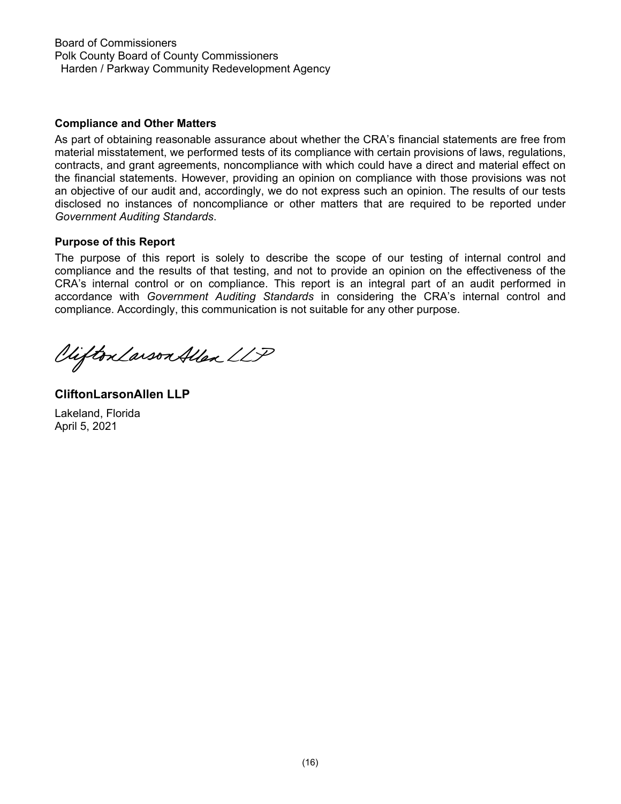Board of Commissioners Polk County Board of County Commissioners Harden / Parkway Community Redevelopment Agency

### **Compliance and Other Matters**

As part of obtaining reasonable assurance about whether the CRA's financial statements are free from material misstatement, we performed tests of its compliance with certain provisions of laws, regulations, contracts, and grant agreements, noncompliance with which could have a direct and material effect on the financial statements. However, providing an opinion on compliance with those provisions was not an objective of our audit and, accordingly, we do not express such an opinion. The results of our tests disclosed no instances of noncompliance or other matters that are required to be reported under *Government Auditing Standards*.

#### **Purpose of this Report**

The purpose of this report is solely to describe the scope of our testing of internal control and compliance and the results of that testing, and not to provide an opinion on the effectiveness of the CRA's internal control or on compliance. This report is an integral part of an audit performed in accordance with *Government Auditing Standards* in considering the CRA's internal control and compliance. Accordingly, this communication is not suitable for any other purpose.

Viifton Larson Allen LLP

**CliftonLarsonAllen LLP**  Lakeland, Florida April 5, 2021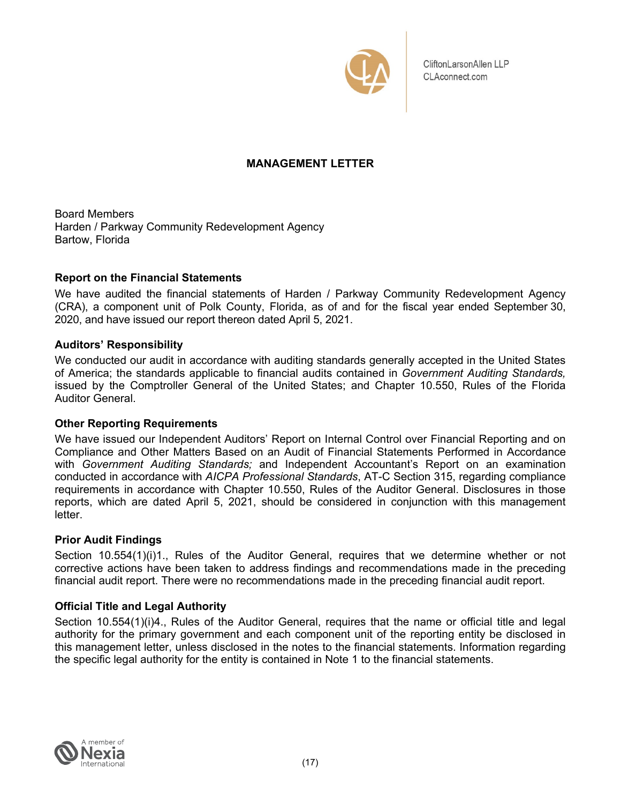

CliftonLarsonAllen LLP CLAconnect.com

# **MANAGEMENT LETTER**

Board Members Harden / Parkway Community Redevelopment Agency Bartow, Florida

### **Report on the Financial Statements**

We have audited the financial statements of Harden / Parkway Community Redevelopment Agency (CRA), a component unit of Polk County, Florida, as of and for the fiscal year ended September 30, 2020, and have issued our report thereon dated April 5, 2021.

# **Auditors' Responsibility**

We conducted our audit in accordance with auditing standards generally accepted in the United States of America; the standards applicable to financial audits contained in *Government Auditing Standards,*  issued by the Comptroller General of the United States; and Chapter 10.550, Rules of the Florida Auditor General.

### **Other Reporting Requirements**

We have issued our Independent Auditors' Report on Internal Control over Financial Reporting and on Compliance and Other Matters Based on an Audit of Financial Statements Performed in Accordance with *Government Auditing Standards;* and Independent Accountant's Report on an examination conducted in accordance with *AICPA Professional Standards*, AT-C Section 315, regarding compliance requirements in accordance with Chapter 10.550, Rules of the Auditor General. Disclosures in those reports, which are dated April 5, 2021, should be considered in conjunction with this management letter.

### **Prior Audit Findings**

Section 10.554(1)(i)1., Rules of the Auditor General, requires that we determine whether or not corrective actions have been taken to address findings and recommendations made in the preceding financial audit report. There were no recommendations made in the preceding financial audit report.

# **Official Title and Legal Authority**

Section 10.554(1)(i)4., Rules of the Auditor General, requires that the name or official title and legal authority for the primary government and each component unit of the reporting entity be disclosed in this management letter, unless disclosed in the notes to the financial statements. Information regarding the specific legal authority for the entity is contained in Note 1 to the financial statements.

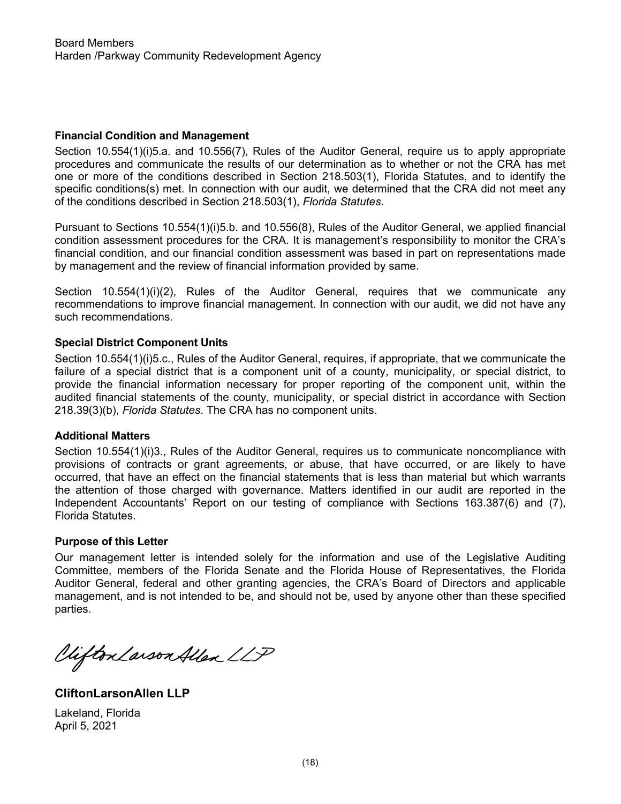#### **Financial Condition and Management**

 Section 10.554(1)(i)5.a. and 10.556(7), Rules of the Auditor General, require us to apply appropriate procedures and communicate the results of our determination as to whether or not the CRA has met one or more of the conditions described in Section 218.503(1), Florida Statutes, and to identify the specific conditions(s) met. In connection with our audit, we determined that the CRA did not meet any of the conditions described in Section 218.503(1), *Florida Statutes*.

Pursuant to Sections 10.554(1)(i)5.b. and 10.556(8), Rules of the Auditor General, we applied financial condition assessment procedures for the CRA. It is management's responsibility to monitor the CRA's financial condition, and our financial condition assessment was based in part on representations made by management and the review of financial information provided by same.

Section 10.554(1)(i)(2). Rules of the Auditor General, requires that we communicate any recommendations to improve financial management. In connection with our audit, we did not have any such recommendations.

### **Special District Component Units**

Section 10.554(1)(i)5.c., Rules of the Auditor General, requires, if appropriate, that we communicate the failure of a special district that is a component unit of a county, municipality, or special district, to provide the financial information necessary for proper reporting of the component unit, within the audited financial statements of the county, municipality, or special district in accordance with Section 218.39(3)(b), *Florida Statutes*. The CRA has no component units.

#### **Additional Matters**

Section 10.554(1)(i)3., Rules of the Auditor General, requires us to communicate noncompliance with provisions of contracts or grant agreements, or abuse, that have occurred, or are likely to have occurred, that have an effect on the financial statements that is less than material but which warrants the attention of those charged with governance. Matters identified in our audit are reported in the Independent Accountants' Report on our testing of compliance with Sections 163.387(6) and (7), Florida Statutes.

#### **Purpose of this Letter**

Our management letter is intended solely for the information and use of the Legislative Auditing Committee, members of the Florida Senate and the Florida House of Representatives, the Florida Auditor General, federal and other granting agencies, the CRA's Board of Directors and applicable management, and is not intended to be, and should not be, used by anyone other than these specified parties.

Viifton Larson Allen LLP

**CliftonLarsonAllen LLP** 

Lakeland, Florida April 5, 2021